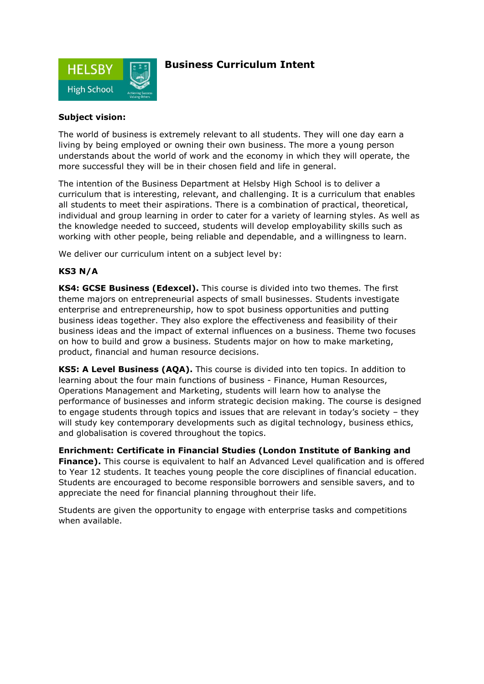

## **Business Curriculum Intent**

## **Subject vision:**

The world of business is extremely relevant to all students. They will one day earn a living by being employed or owning their own business. The more a young person understands about the world of work and the economy in which they will operate, the more successful they will be in their chosen field and life in general.

The intention of the Business Department at Helsby High School is to deliver a curriculum that is interesting, relevant, and challenging. It is a curriculum that enables all students to meet their aspirations. There is a combination of practical, theoretical, individual and group learning in order to cater for a variety of learning styles. As well as the knowledge needed to succeed, students will develop employability skills such as working with other people, being reliable and dependable, and a willingness to learn.

We deliver our curriculum intent on a subject level by:

## **KS3 N/A**

**KS4: GCSE Business (Edexcel).** This course is divided into two themes*.* The first theme majors on entrepreneurial aspects of small businesses. Students investigate enterprise and entrepreneurship, how to spot business opportunities and putting business ideas together. They also explore the effectiveness and feasibility of their business ideas and the impact of external influences on a business. Theme two focuses on how to build and grow a business. Students major on how to make marketing, product, financial and human resource decisions.

**KS5: A Level Business (AQA).** This course is divided into ten topics. In addition to learning about the four main functions of business - Finance, Human Resources, Operations Management and Marketing, students will learn how to analyse the performance of businesses and inform strategic decision making. The course is designed to engage students through topics and issues that are relevant in today's society – they will study key contemporary developments such as digital technology, business ethics, and globalisation is covered throughout the topics.

**Enrichment: Certificate in Financial Studies (London Institute of Banking and Finance).** This course is equivalent to half an Advanced Level qualification and is offered to Year 12 students. It teaches young people the core disciplines of financial education. Students are encouraged to become responsible borrowers and sensible savers, and to appreciate the need for financial planning throughout their life.

Students are given the opportunity to engage with enterprise tasks and competitions when available.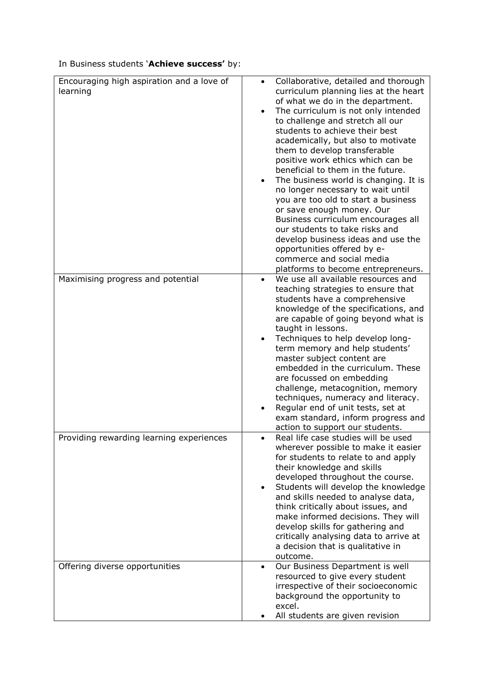In Business students '**Achieve success'** by:

| Encouraging high aspiration and a love of<br>learning | Collaborative, detailed and thorough<br>$\bullet$<br>curriculum planning lies at the heart<br>of what we do in the department.<br>The curriculum is not only intended<br>to challenge and stretch all our<br>students to achieve their best<br>academically, but also to motivate<br>them to develop transferable<br>positive work ethics which can be<br>beneficial to them in the future.<br>The business world is changing. It is<br>no longer necessary to wait until<br>you are too old to start a business<br>or save enough money. Our<br>Business curriculum encourages all<br>our students to take risks and<br>develop business ideas and use the<br>opportunities offered by e-<br>commerce and social media<br>platforms to become entrepreneurs. |
|-------------------------------------------------------|---------------------------------------------------------------------------------------------------------------------------------------------------------------------------------------------------------------------------------------------------------------------------------------------------------------------------------------------------------------------------------------------------------------------------------------------------------------------------------------------------------------------------------------------------------------------------------------------------------------------------------------------------------------------------------------------------------------------------------------------------------------|
| Maximising progress and potential                     | We use all available resources and<br>teaching strategies to ensure that                                                                                                                                                                                                                                                                                                                                                                                                                                                                                                                                                                                                                                                                                      |
|                                                       | students have a comprehensive                                                                                                                                                                                                                                                                                                                                                                                                                                                                                                                                                                                                                                                                                                                                 |
|                                                       | knowledge of the specifications, and<br>are capable of going beyond what is                                                                                                                                                                                                                                                                                                                                                                                                                                                                                                                                                                                                                                                                                   |
|                                                       | taught in lessons.                                                                                                                                                                                                                                                                                                                                                                                                                                                                                                                                                                                                                                                                                                                                            |
|                                                       | Techniques to help develop long-<br>$\bullet$<br>term memory and help students'                                                                                                                                                                                                                                                                                                                                                                                                                                                                                                                                                                                                                                                                               |
|                                                       | master subject content are                                                                                                                                                                                                                                                                                                                                                                                                                                                                                                                                                                                                                                                                                                                                    |
|                                                       | embedded in the curriculum. These                                                                                                                                                                                                                                                                                                                                                                                                                                                                                                                                                                                                                                                                                                                             |
|                                                       | are focussed on embedding<br>challenge, metacognition, memory                                                                                                                                                                                                                                                                                                                                                                                                                                                                                                                                                                                                                                                                                                 |
|                                                       | techniques, numeracy and literacy.                                                                                                                                                                                                                                                                                                                                                                                                                                                                                                                                                                                                                                                                                                                            |
|                                                       | Regular end of unit tests, set at<br>exam standard, inform progress and                                                                                                                                                                                                                                                                                                                                                                                                                                                                                                                                                                                                                                                                                       |
|                                                       | action to support our students.                                                                                                                                                                                                                                                                                                                                                                                                                                                                                                                                                                                                                                                                                                                               |
| Providing rewarding learning experiences              | Real life case studies will be used                                                                                                                                                                                                                                                                                                                                                                                                                                                                                                                                                                                                                                                                                                                           |
|                                                       | wherever possible to make it easier<br>for students to relate to and apply                                                                                                                                                                                                                                                                                                                                                                                                                                                                                                                                                                                                                                                                                    |
|                                                       | their knowledge and skills                                                                                                                                                                                                                                                                                                                                                                                                                                                                                                                                                                                                                                                                                                                                    |
|                                                       | developed throughout the course.<br>Students will develop the knowledge<br>$\bullet$                                                                                                                                                                                                                                                                                                                                                                                                                                                                                                                                                                                                                                                                          |
|                                                       | and skills needed to analyse data,                                                                                                                                                                                                                                                                                                                                                                                                                                                                                                                                                                                                                                                                                                                            |
|                                                       | think critically about issues, and                                                                                                                                                                                                                                                                                                                                                                                                                                                                                                                                                                                                                                                                                                                            |
|                                                       | make informed decisions. They will<br>develop skills for gathering and                                                                                                                                                                                                                                                                                                                                                                                                                                                                                                                                                                                                                                                                                        |
|                                                       | critically analysing data to arrive at                                                                                                                                                                                                                                                                                                                                                                                                                                                                                                                                                                                                                                                                                                                        |
|                                                       | a decision that is qualitative in<br>outcome.                                                                                                                                                                                                                                                                                                                                                                                                                                                                                                                                                                                                                                                                                                                 |
| Offering diverse opportunities                        | Our Business Department is well<br>$\bullet$                                                                                                                                                                                                                                                                                                                                                                                                                                                                                                                                                                                                                                                                                                                  |
|                                                       | resourced to give every student                                                                                                                                                                                                                                                                                                                                                                                                                                                                                                                                                                                                                                                                                                                               |
|                                                       | irrespective of their socioeconomic<br>background the opportunity to                                                                                                                                                                                                                                                                                                                                                                                                                                                                                                                                                                                                                                                                                          |
|                                                       | excel.                                                                                                                                                                                                                                                                                                                                                                                                                                                                                                                                                                                                                                                                                                                                                        |
|                                                       | All students are given revision                                                                                                                                                                                                                                                                                                                                                                                                                                                                                                                                                                                                                                                                                                                               |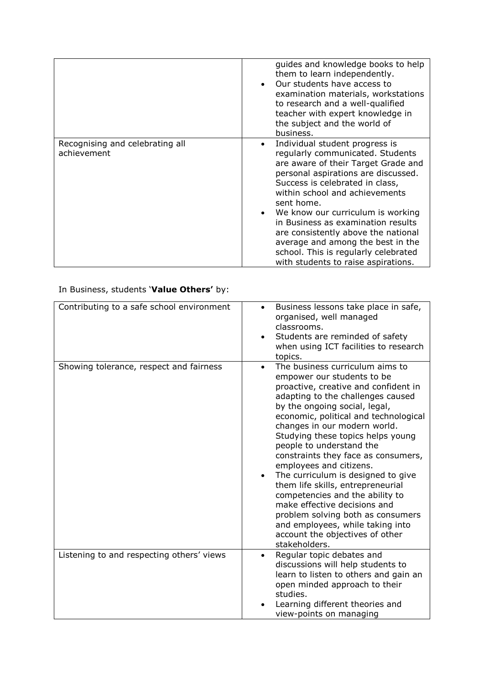|                                                | guides and knowledge books to help<br>them to learn independently.<br>Our students have access to<br>examination materials, workstations<br>to research and a well-qualified<br>teacher with expert knowledge in<br>the subject and the world of<br>business.                                                                                                                                                                                                                          |
|------------------------------------------------|----------------------------------------------------------------------------------------------------------------------------------------------------------------------------------------------------------------------------------------------------------------------------------------------------------------------------------------------------------------------------------------------------------------------------------------------------------------------------------------|
| Recognising and celebrating all<br>achievement | Individual student progress is<br>$\bullet$<br>regularly communicated. Students<br>are aware of their Target Grade and<br>personal aspirations are discussed.<br>Success is celebrated in class,<br>within school and achievements<br>sent home.<br>We know our curriculum is working<br>in Business as examination results<br>are consistently above the national<br>average and among the best in the<br>school. This is regularly celebrated<br>with students to raise aspirations. |

## In Business, students '**Value Others'** by:

| Contributing to a safe school environment | Business lessons take place in safe,<br>organised, well managed<br>classrooms.<br>Students are reminded of safety<br>when using ICT facilities to research<br>topics.                                                                                                                                                                                                                                                                                                                                                                                                                                                                                                           |
|-------------------------------------------|---------------------------------------------------------------------------------------------------------------------------------------------------------------------------------------------------------------------------------------------------------------------------------------------------------------------------------------------------------------------------------------------------------------------------------------------------------------------------------------------------------------------------------------------------------------------------------------------------------------------------------------------------------------------------------|
| Showing tolerance, respect and fairness   | The business curriculum aims to<br>$\bullet$<br>empower our students to be<br>proactive, creative and confident in<br>adapting to the challenges caused<br>by the ongoing social, legal,<br>economic, political and technological<br>changes in our modern world.<br>Studying these topics helps young<br>people to understand the<br>constraints they face as consumers,<br>employees and citizens.<br>The curriculum is designed to give<br>them life skills, entrepreneurial<br>competencies and the ability to<br>make effective decisions and<br>problem solving both as consumers<br>and employees, while taking into<br>account the objectives of other<br>stakeholders. |
| Listening to and respecting others' views | Regular topic debates and<br>$\bullet$<br>discussions will help students to<br>learn to listen to others and gain an<br>open minded approach to their<br>studies.<br>Learning different theories and<br>view-points on managing                                                                                                                                                                                                                                                                                                                                                                                                                                                 |